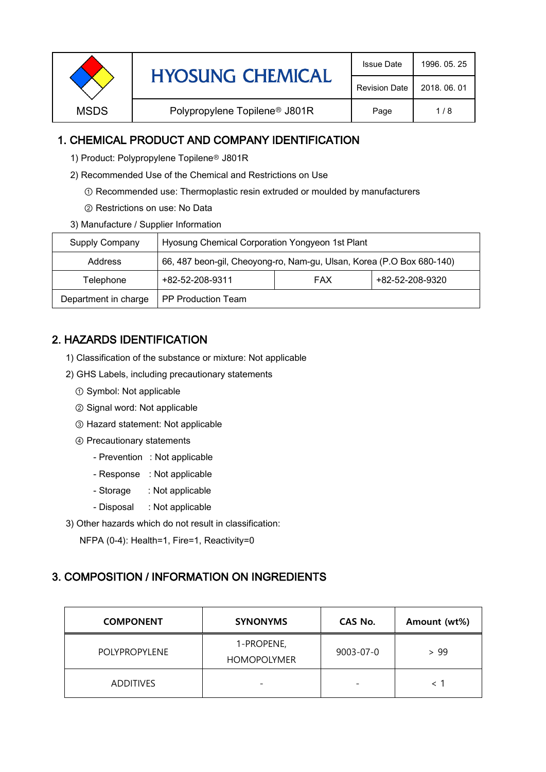|             | <b>HYOSUNG CHEMICAL</b>                   | <b>Issue Date</b>    | 1996, 05, 25 |
|-------------|-------------------------------------------|----------------------|--------------|
|             |                                           | <b>Revision Date</b> | 2018, 06, 01 |
| <b>MSDS</b> | Polypropylene Topilene <sup>®</sup> J801R | Page                 | 1/8          |
|             |                                           |                      |              |

# 1. CHEMICAL PRODUCT AND COMPANY IDENTIFICATION

1) Product: Polypropylene Topilene<sup>®</sup> J801R

- 2) Recommended Use of the Chemical and Restrictions on Use
	- ① Recommended use: Thermoplastic resin extruded or moulded by manufacturers
	- ② Restrictions on use: No Data
- 3) Manufacture / Supplier Information

| Supply Company                                    | Hyosung Chemical Corporation Yongyeon 1st Plant                       |  |                 |  |
|---------------------------------------------------|-----------------------------------------------------------------------|--|-----------------|--|
| Address                                           | 66, 487 beon-gil, Cheoyong-ro, Nam-gu, Ulsan, Korea (P.O Box 680-140) |  |                 |  |
| +82-52-208-9311<br><b>FAX</b><br>Telephone        |                                                                       |  | +82-52-208-9320 |  |
| Department in charge<br><b>PP Production Team</b> |                                                                       |  |                 |  |

# 2. HAZARDS IDENTIFICATION

- 1) Classification of the substance or mixture: Not applicable
- 2) GHS Labels, including precautionary statements
	- ① Symbol: Not applicable
	- ② Signal word: Not applicable
	- ③ Hazard statement: Not applicable
	- ④ Precautionary statements
		- Prevention : Not applicable
		- Response : Not applicable
		- Storage : Not applicable
		- Disposal : Not applicable
- 3) Other hazards which do not result in classification:

NFPA (0-4): Health=1, Fire=1, Reactivity=0

# 3. COMPOSITION / INFORMATION ON INGREDIENTS

| <b>COMPONENT</b>     | <b>SYNONYMS</b>                  | CAS No.   | Amount (wt%) |
|----------------------|----------------------------------|-----------|--------------|
| <b>POLYPROPYLENE</b> | 1-PROPENE,<br><b>HOMOPOLYMER</b> | 9003-07-0 | > 99         |
| <b>ADDITIVES</b>     | $\overline{\phantom{0}}$         |           |              |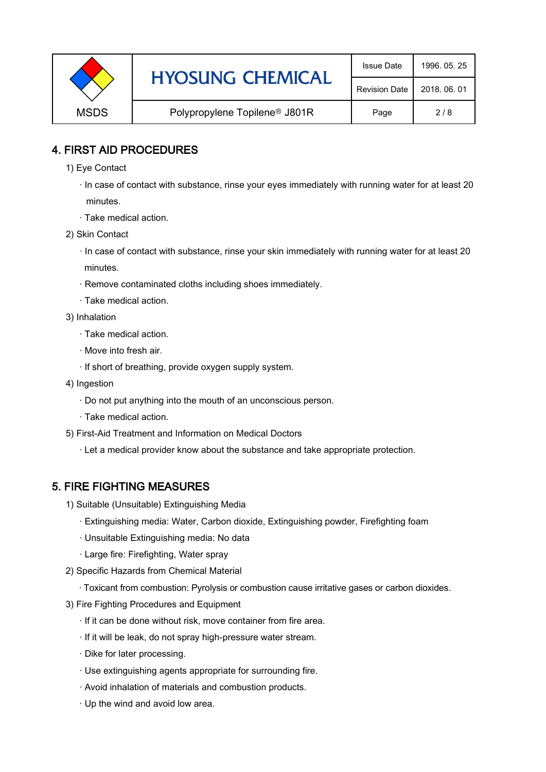|             | <b>HYOSUNG CHEMICAL</b>                   | <b>Issue Date</b> | 1996, 05, 25 |
|-------------|-------------------------------------------|-------------------|--------------|
|             | <b>Revision Date</b>                      | 2018, 06, 01      |              |
| <b>MSDS</b> | Polypropylene Topilene <sup>®</sup> J801R | Page              | 2/8          |

### 4. FIRST AID PROCEDURES

- 1) Eye Contact
	- · In case of contact with substance, rinse your eyes immediately with running water for at least 20 minutes.
	- · Take medical action.
- 2) Skin Contact
	- · In case of contact with substance, rinse your skin immediately with running water for at least 20 minutes.
	- · Remove contaminated cloths including shoes immediately.
	- · Take medical action.
- 3) Inhalation
	- · Take medical action.
	- · Move into fresh air.
	- · If short of breathing, provide oxygen supply system.
- 4) Ingestion
	- · Do not put anything into the mouth of an unconscious person.
	- · Take medical action.
- 5) First-Aid Treatment and Information on Medical Doctors
	- · Let a medical provider know about the substance and take appropriate protection.

### 5. FIRE FIGHTING MEASURES

- 1) Suitable (Unsuitable) Extinguishing Media
	- · Extinguishing media: Water, Carbon dioxide, Extinguishing powder, Firefighting foam
	- · Unsuitable Extinguishing media: No data
	- · Large fire: Firefighting, Water spray
- 2) Specific Hazards from Chemical Material
	- · Toxicant from combustion: Pyrolysis or combustion cause irritative gases or carbon dioxides.
- 3) Fire Fighting Procedures and Equipment
	- · If it can be done without risk, move container from fire area.
	- · If it will be leak, do not spray high-pressure water stream.
	- · Dike for later processing.
	- · Use extinguishing agents appropriate for surrounding fire.
	- · Avoid inhalation of materials and combustion products.
	- · Up the wind and avoid low area.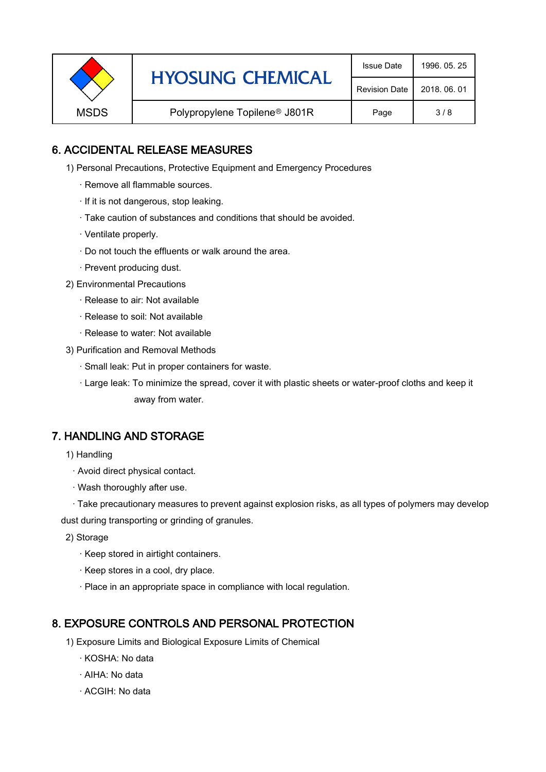|             | <b>HYOSUNG CHEMICAL</b>                   | <b>Issue Date</b> | 1996, 05, 25 |
|-------------|-------------------------------------------|-------------------|--------------|
|             | <b>Revision Date</b>                      | 2018, 06, 01      |              |
| <b>MSDS</b> | Polypropylene Topilene <sup>®</sup> J801R | Page              | 3/8          |

### 6. ACCIDENTAL RELEASE MEASURES

- 1) Personal Precautions, Protective Equipment and Emergency Procedures
	- · Remove all flammable sources.
	- · If it is not dangerous, stop leaking.
	- · Take caution of substances and conditions that should be avoided.
	- · Ventilate properly.
	- · Do not touch the effluents or walk around the area.
	- · Prevent producing dust.
- 2) Environmental Precautions
	- · Release to air: Not available
	- · Release to soil: Not available
	- · Release to water: Not available
- 3) Purification and Removal Methods
	- · Small leak: Put in proper containers for waste.
	- ,· Large leak: To minimize the spread, cover it with plastic sheets or water-proof cloths and keep it away from water.

### 7. HANDLING AND STORAGE

- 1) Handling
	- · Avoid direct physical contact.
	- · Wash thoroughly after use.

· Take precautionary measures to prevent against explosion risks, as all types of polymers may develop dust during transporting or grinding of granules.

- 2) Storage
	- · Keep stored in airtight containers.
	- · Keep stores in a cool, dry place.
	- · Place in an appropriate space in compliance with local regulation.

### 8. EXPOSURE CONTROLS AND PERSONAL PROTECTION

- 1) Exposure Limits and Biological Exposure Limits of Chemical
	- · KOSHA: No data
	- · AIHA: No data
	- · ACGIH: No data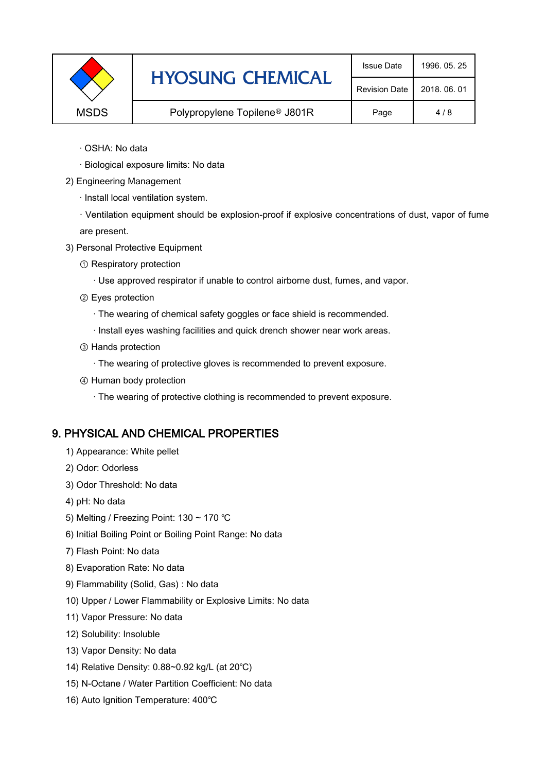|             | <b>HYOSUNG CHEMICAL</b>                   | <b>Issue Date</b> | 1996, 05, 25 |
|-------------|-------------------------------------------|-------------------|--------------|
|             | <b>Revision Date</b>                      | 2018, 06, 01      |              |
| <b>MSDS</b> | Polypropylene Topilene <sup>®</sup> J801R | Page              | 4/8          |

- · OSHA: No data
- · Biological exposure limits: No data
- 2) Engineering Management
	- · Install local ventilation system.
	- · Ventilation equipment should be explosion-proof if explosive concentrations of dust, vapor of fume are present.
- 3) Personal Protective Equipment
	- ① Respiratory protection
		- · Use approved respirator if unable to control airborne dust, fumes, and vapor.
	- ② Eyes protection
		- · The wearing of chemical safety goggles or face shield is recommended.
		- · Install eyes washing facilities and quick drench shower near work areas.
	- ③ Hands protection
		- · The wearing of protective gloves is recommended to prevent exposure.
	- ④ Human body protection
		- · The wearing of protective clothing is recommended to prevent exposure.

# 9. PHYSICAL AND CHEMICAL PROPERTIES

- 1) Appearance: White pellet
- 2) Odor: Odorless
- 3) Odor Threshold: No data
- 4) pH: No data
- 5) Melting / Freezing Point: 130 ~ 170 ℃
- 6) Initial Boiling Point or Boiling Point Range: No data
- 7) Flash Point: No data
- 8) Evaporation Rate: No data
- 9) Flammability (Solid, Gas) : No data
- 10) Upper / Lower Flammability or Explosive Limits: No data
- 11) Vapor Pressure: No data
- 12) Solubility: Insoluble
- 13) Vapor Density: No data
- 14) Relative Density: 0.88~0.92 kg/L (at 20℃)
- 15) N-Octane / Water Partition Coefficient: No data
- 16) Auto Ignition Temperature: 400℃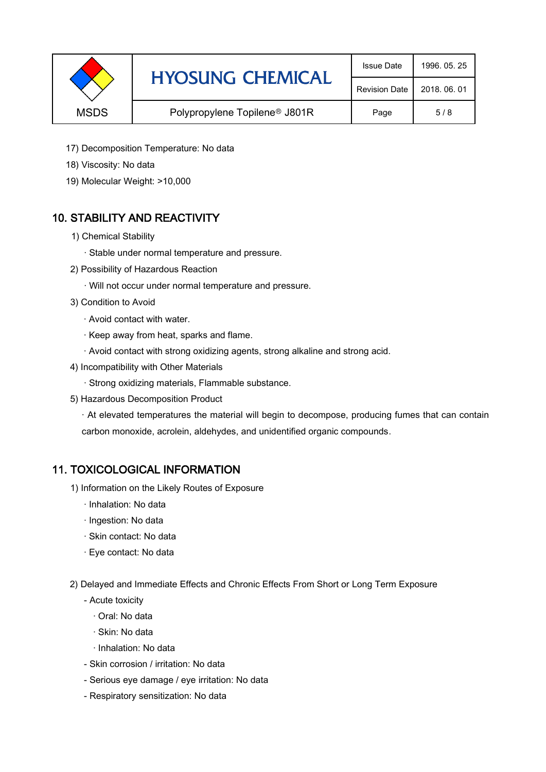| <b>HYOSUNG CHEMICAL</b>                                  | <b>Issue Date</b>    | 1996, 05, 25 |     |
|----------------------------------------------------------|----------------------|--------------|-----|
|                                                          | <b>Revision Date</b> | 2018, 06, 01 |     |
| <b>MSDS</b><br>Polypropylene Topilene <sup>®</sup> J801R |                      | Page         | 5/8 |

- 17) Decomposition Temperature: No data
- 18) Viscosity: No data
- 19) Molecular Weight: >10,000

# 10. STABILITY AND REACTIVITY

- 1) Chemical Stability
	- · Stable under normal temperature and pressure.
- 2) Possibility of Hazardous Reaction
	- · Will not occur under normal temperature and pressure.
- 3) Condition to Avoid
	- · Avoid contact with water.
	- · Keep away from heat, sparks and flame.
	- · Avoid contact with strong oxidizing agents, strong alkaline and strong acid.
- 4) Incompatibility with Other Materials
	- · Strong oxidizing materials, Flammable substance.
- 5) Hazardous Decomposition Product

· At elevated temperatures the material will begin to decompose, producing fumes that can contain carbon monoxide, acrolein, aldehydes, and unidentified organic compounds.

### 11. TOXICOLOGICAL INFORMATION

- 1) Information on the Likely Routes of Exposure
	- · Inhalation: No data
	- · Ingestion: No data
	- · Skin contact: No data
	- · Eye contact: No data
- 2) Delayed and Immediate Effects and Chronic Effects From Short or Long Term Exposure
	- Acute toxicity
		- · Oral: No data
		- · Skin: No data
		- · Inhalation: No data
	- Skin corrosion / irritation: No data
	- Serious eye damage / eye irritation: No data
	- Respiratory sensitization: No data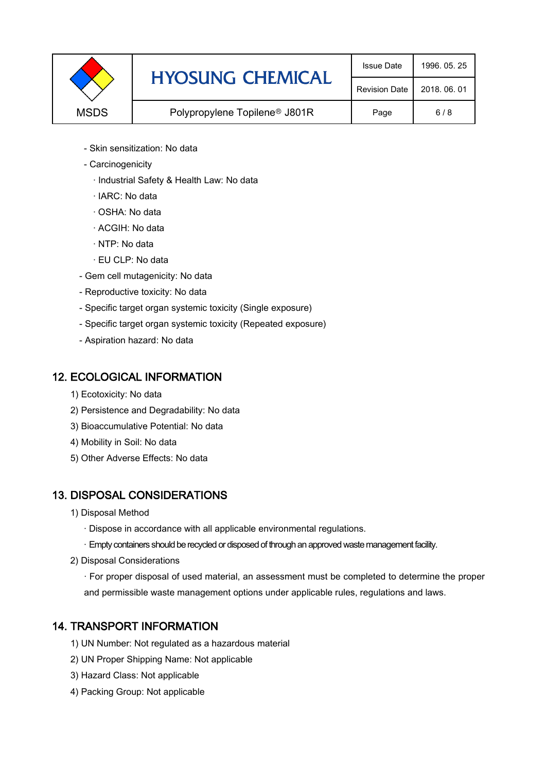| <b>HYOSUNG CHEMICAL</b> | <b>Issue Date</b>                         | 1996, 05, 25 |     |
|-------------------------|-------------------------------------------|--------------|-----|
|                         | <b>Revision Date</b>                      | 2018, 06, 01 |     |
| <b>MSDS</b>             | Polypropylene Topilene <sup>®</sup> J801R | Page         | 6/8 |

- Skin sensitization: No data
- Carcinogenicity
	- · Industrial Safety & Health Law: No data
	- · IARC: No data
	- · OSHA: No data
	- · ACGIH: No data
	- · NTP: No data
	- · EU CLP: No data
- Gem cell mutagenicity: No data
- Reproductive toxicity: No data
- Specific target organ systemic toxicity (Single exposure)
- Specific target organ systemic toxicity (Repeated exposure)
- Aspiration hazard: No data

### 12. ECOLOGICAL INFORMATION

- 1) Ecotoxicity: No data
- 2) Persistence and Degradability: No data
- 3) Bioaccumulative Potential: No data
- 4) Mobility in Soil: No data
- 5) Other Adverse Effects: No data

# 13. DISPOSAL CONSIDERATIONS

- 1) Disposal Method
	- · Dispose in accordance with all applicable environmental regulations.
	- · Empty containers should be recycled or disposed of through an approved waste management facility.
- 2) Disposal Considerations
	- · For proper disposal of used material, an assessment must be completed to determine the proper and permissible waste management options under applicable rules, regulations and laws.

# 14. TRANSPORT INFORMATION

- 1) UN Number: Not regulated as a hazardous material
- 2) UN Proper Shipping Name: Not applicable
- 3) Hazard Class: Not applicable
- 4) Packing Group: Not applicable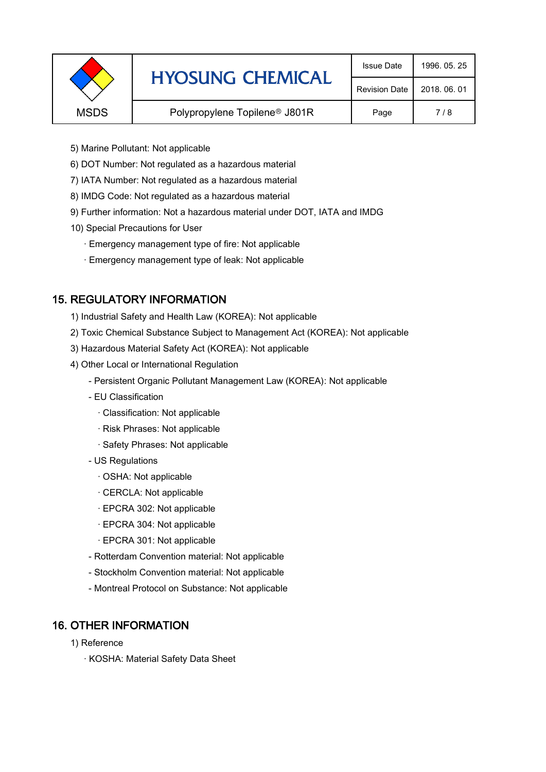|                                                          | <b>HYOSUNG CHEMICAL</b> | <b>Issue Date</b>    | 1996, 05, 25 |
|----------------------------------------------------------|-------------------------|----------------------|--------------|
|                                                          |                         | <b>Revision Date</b> | 2018, 06, 01 |
| <b>MSDS</b><br>Polypropylene Topilene <sup>®</sup> J801R |                         | Page                 | 7/8          |
|                                                          |                         |                      |              |

- 5) Marine Pollutant: Not applicable
- 6) DOT Number: Not regulated as a hazardous material
- 7) IATA Number: Not regulated as a hazardous material
- 8) IMDG Code: Not regulated as a hazardous material
- 9) Further information: Not a hazardous material under DOT, IATA and IMDG
- 10) Special Precautions for User
	- · Emergency management type of fire: Not applicable
	- · Emergency management type of leak: Not applicable

### 15. REGULATORY INFORMATION

- 1) Industrial Safety and Health Law (KOREA): Not applicable
- 2) Toxic Chemical Substance Subject to Management Act (KOREA): Not applicable
- 3) Hazardous Material Safety Act (KOREA): Not applicable
- 4) Other Local or International Regulation
	- Persistent Organic Pollutant Management Law (KOREA): Not applicable
	- EU Classification
		- · Classification: Not applicable
		- · Risk Phrases: Not applicable
		- · Safety Phrases: Not applicable
	- US Regulations
		- · OSHA: Not applicable
		- · CERCLA: Not applicable
		- · EPCRA 302: Not applicable
		- · EPCRA 304: Not applicable
		- · EPCRA 301: Not applicable
	- Rotterdam Convention material: Not applicable
	- Stockholm Convention material: Not applicable
	- Montreal Protocol on Substance: Not applicable

### 16. OTHER INFORMATION

- 1) Reference
	- · KOSHA: Material Safety Data Sheet